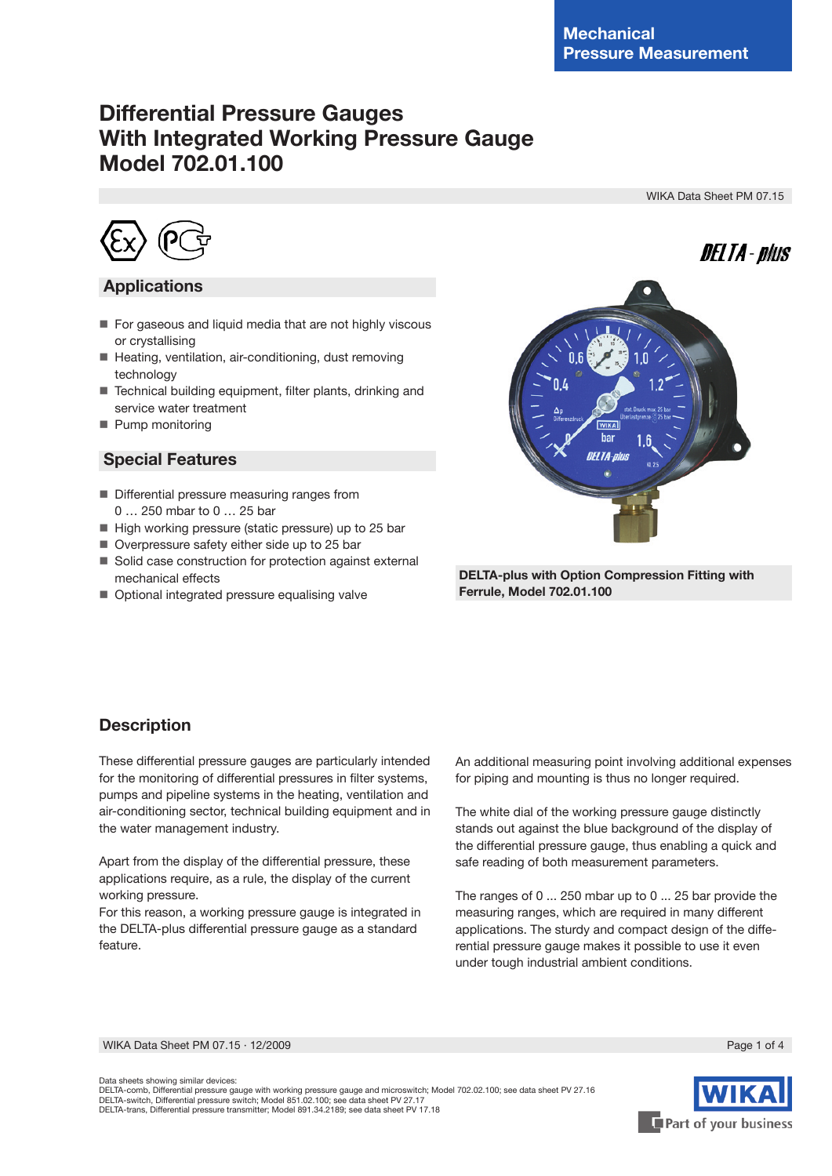# **Differential Pressure Gauges With Integrated Working Pressure Gauge Model 702.01.100**

WIKA Data Sheet PM 07.15



### **Applications**

- For gaseous and liquid media that are not highly viscous or crystallising
- Heating, ventilation, air-conditioning, dust removing technology
- Technical building equipment, filter plants, drinking and service water treatment
- Pump monitoring

### **Special Features**

- Differential pressure measuring ranges from 0 … 250 mbar to 0 … 25 bar
- High working pressure (static pressure) up to 25 bar
- Overpressure safety either side up to 25 bar
- Solid case construction for protection against external mechanical effects
- Optional integrated pressure equalising valve



 **DELTA-plus with Option Compression Fitting with Ferrule, Model 702.01.100** 

### **Description**

These differential pressure gauges are particularly intended for the monitoring of differential pressures in filter systems, pumps and pipeline systems in the heating, ventilation and air-conditioning sector, technical building equipment and in the water management industry.

Apart from the display of the differential pressure, these applications require, as a rule, the display of the current working pressure.

For this reason, a working pressure gauge is integrated in the DELTA-plus differential pressure gauge as a standard feature.

An additional measuring point involving additional expenses for piping and mounting is thus no longer required.

The white dial of the working pressure gauge distinctly stands out against the blue background of the display of the differential pressure gauge, thus enabling a quick and safe reading of both measurement parameters.

The ranges of 0 ... 250 mbar up to 0 ... 25 bar provide the measuring ranges, which are required in many different applications. The sturdy and compact design of the differential pressure gauge makes it possible to use it even under tough industrial ambient conditions.

WIKA Data Sheet PM 07.15 ⋅ 12/2009 Page 1 of 4



Data sheets showing similar devices:

DELTA-comb, Differential pressure gauge with working pressure gauge and microswitch; Model 702.02.100; see data sheet PV 27.16 DELTA-switch, Differential pressure switch; Model 851.02.100; see data sheet PV 27.17 DELTA-trans, Differential pressure transmitter; Model 891.34.2189; see data sheet PV 17.18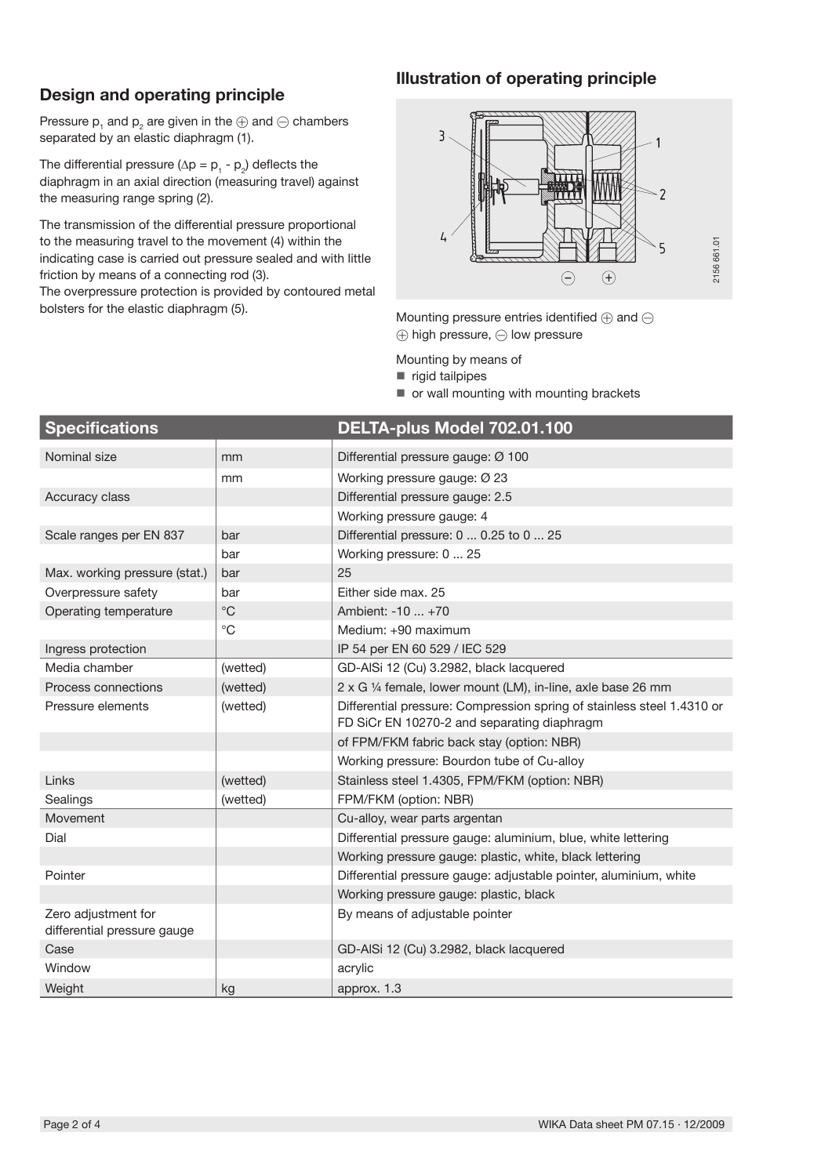# **Design and operating principle**

### **Illustration of operating principle**

Pressure  $\bm{{\mathsf{p}}}_\text{\tiny 1}$  and  $\bm{{\mathsf{p}}}_\text{\tiny 2}$  are given in the  $\oplus$  and  $\ominus$  chambers separated by an elastic diaphragm (1).

The differential pressure ( $\Delta p = p_1 - p_2$ ) deflects the diaphragm in an axial direction (measuring travel) against the measuring range spring (2).

The transmission of the differential pressure proportional to the measuring travel to the movement (4) within the indicating case is carried out pressure sealed and with little friction by means of a connecting rod (3).

The overpressure protection is provided by contoured metal bolsters for the elastic diaphragm (5).



Mounting pressure entries identified  $\oplus$  and  $\ominus$  $\oplus$  high pressure,  $\ominus$  low pressure

Mounting by means of

- rigid tailpipes
- or wall mounting with mounting brackets

| <b>Specifications</b>                              |              | DELTA-plus Model 702.01.100                                                                                           |
|----------------------------------------------------|--------------|-----------------------------------------------------------------------------------------------------------------------|
| Nominal size                                       | mm           | Differential pressure gauge: Ø 100                                                                                    |
|                                                    | mm           | Working pressure gauge: Ø 23                                                                                          |
| Accuracy class                                     |              | Differential pressure gauge: 2.5                                                                                      |
|                                                    |              | Working pressure gauge: 4                                                                                             |
| Scale ranges per EN 837                            | bar          | Differential pressure: 0  0.25 to 0  25                                                                               |
|                                                    | bar          | Working pressure: 0  25                                                                                               |
| Max. working pressure (stat.)                      | bar          | 25                                                                                                                    |
| Overpressure safety                                | bar          | Fither side max, 25                                                                                                   |
| Operating temperature                              | $^{\circ}$ C | Ambient: -10  +70                                                                                                     |
|                                                    | $^{\circ}C$  | Medium: +90 maximum                                                                                                   |
| Ingress protection                                 |              | IP 54 per EN 60 529 / IEC 529                                                                                         |
| Media chamber                                      | (wetted)     | GD-AISi 12 (Cu) 3.2982, black lacquered                                                                               |
| Process connections                                | (wetted)     | 2 x G 1/4 female, lower mount (LM), in-line, axle base 26 mm                                                          |
| Pressure elements                                  | (wetted)     | Differential pressure: Compression spring of stainless steel 1.4310 or<br>FD SiCr EN 10270-2 and separating diaphragm |
|                                                    |              | of FPM/FKM fabric back stay (option: NBR)                                                                             |
|                                                    |              | Working pressure: Bourdon tube of Cu-alloy                                                                            |
| Links                                              | (wetted)     | Stainless steel 1.4305, FPM/FKM (option: NBR)                                                                         |
| Sealings                                           | (wetted)     | FPM/FKM (option: NBR)                                                                                                 |
| Movement                                           |              | Cu-alloy, wear parts argentan                                                                                         |
| Dial                                               |              | Differential pressure gauge: aluminium, blue, white lettering                                                         |
|                                                    |              | Working pressure gauge: plastic, white, black lettering                                                               |
| Pointer                                            |              | Differential pressure gauge: adjustable pointer, aluminium, white                                                     |
|                                                    |              | Working pressure gauge: plastic, black                                                                                |
| Zero adjustment for<br>differential pressure gauge |              | By means of adjustable pointer                                                                                        |
| Case                                               |              | GD-AISi 12 (Cu) 3.2982, black lacquered                                                                               |
| Window                                             |              | acrylic                                                                                                               |
| Weight                                             | kg           | approx. 1.3                                                                                                           |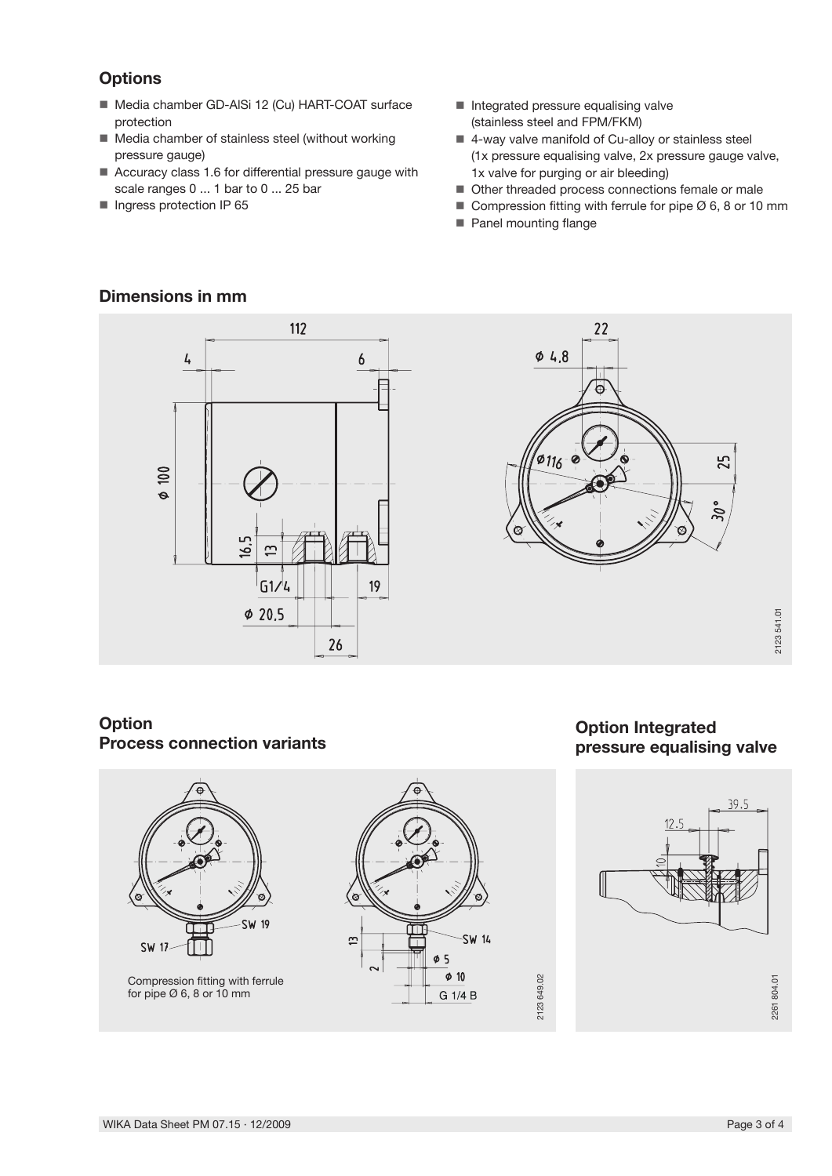# **Options**

- Media chamber GD-AISi 12 (Cu) HART-COAT surface protection
- Media chamber of stainless steel (without working pressure gauge)
- Accuracy class 1.6 for differential pressure gauge with scale ranges 0 ... 1 bar to 0 ... 25 bar
- **Ingress protection IP 65**
- $\blacksquare$  Integrated pressure equalising valve (stainless steel and FPM/FKM)
- 4-way valve manifold of Cu-alloy or stainless steel (1x pressure equalising valve, 2x pressure gauge valve, 1x valve for purging or air bleeding)
- Other threaded process connections female or male
- Compression fitting with ferrule for pipe  $\emptyset$  6, 8 or 10 mm
- **Panel mounting flange**

# **Dimensions in mm**





**Option Integrated** 

# **Option Process connection variants**